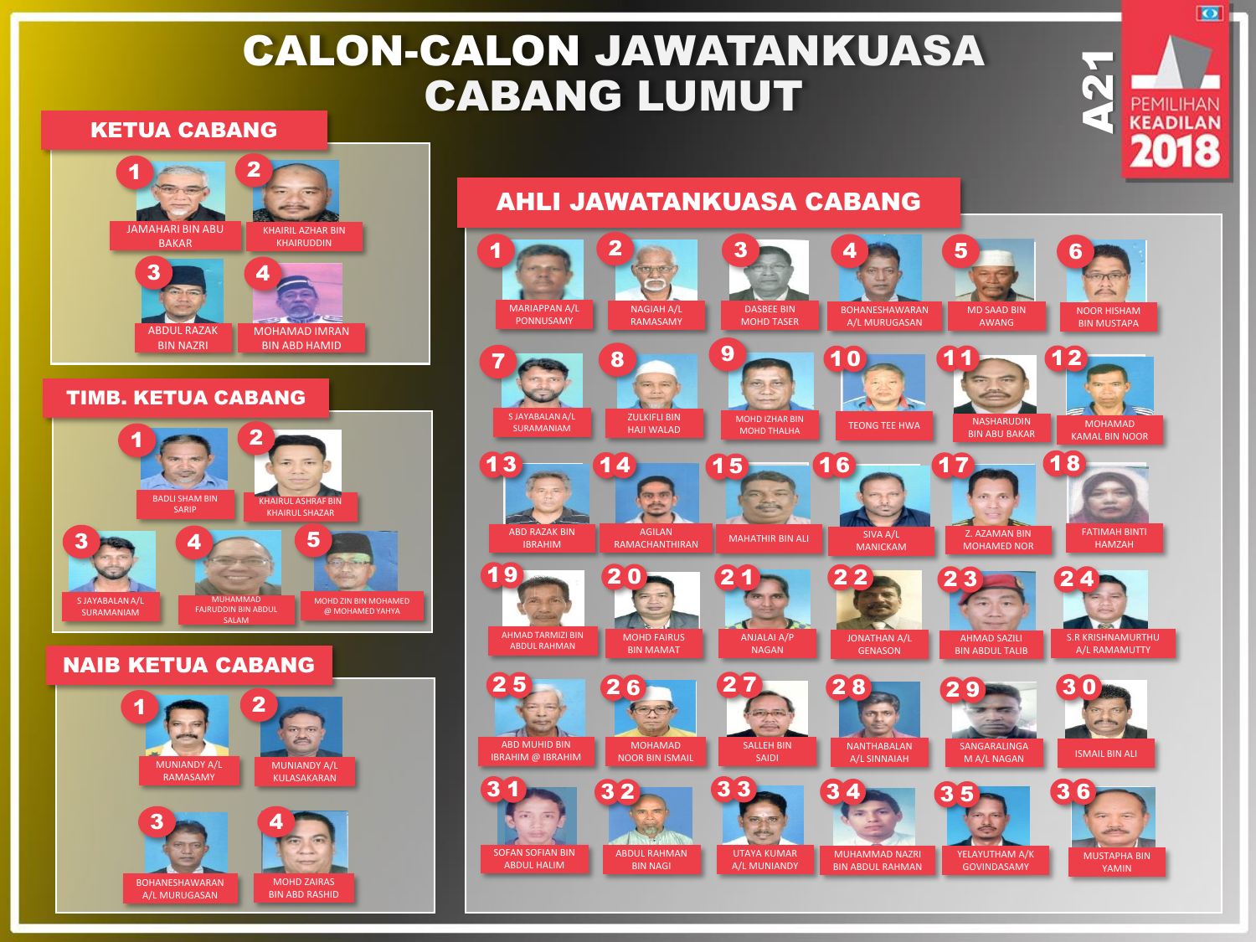# CALON-CALON JAWATANKUASA CABANG LUMUT

#### KETUA CABANG



RAMASAMY

BOHANESHAWARAN A/L MURUGASAN

3

MUNIANDY A/L KULASAKARAN

MOHD ZAIRAS BIN ABD RASHID

4





A21

ा

**KEADILAN**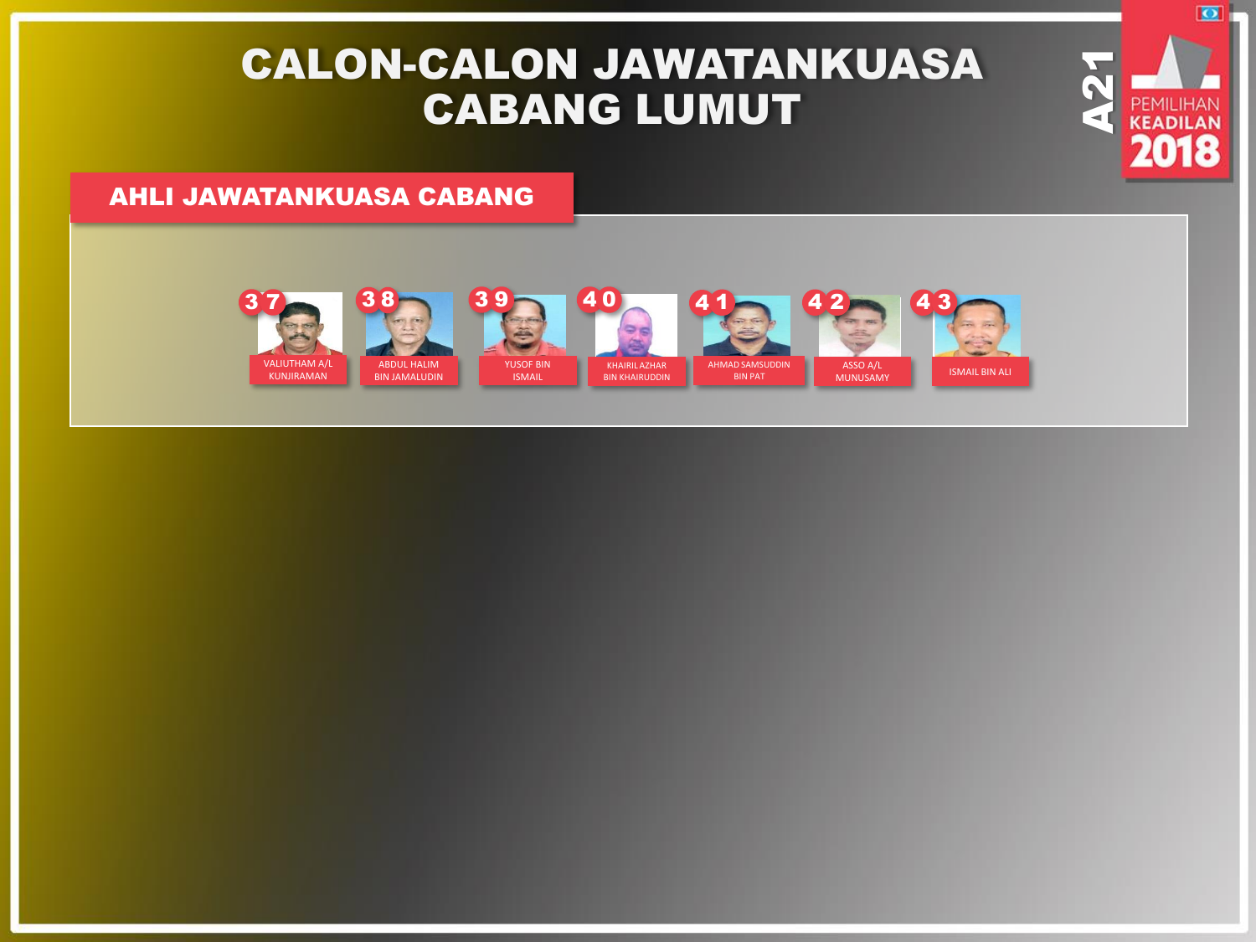# CALON-CALON JAWATANKUASA CABANG LUMUT

A21

 $\overline{\bullet}$ 

*CEADILAN* 

### AHLI JAWATANKUASA CABANG



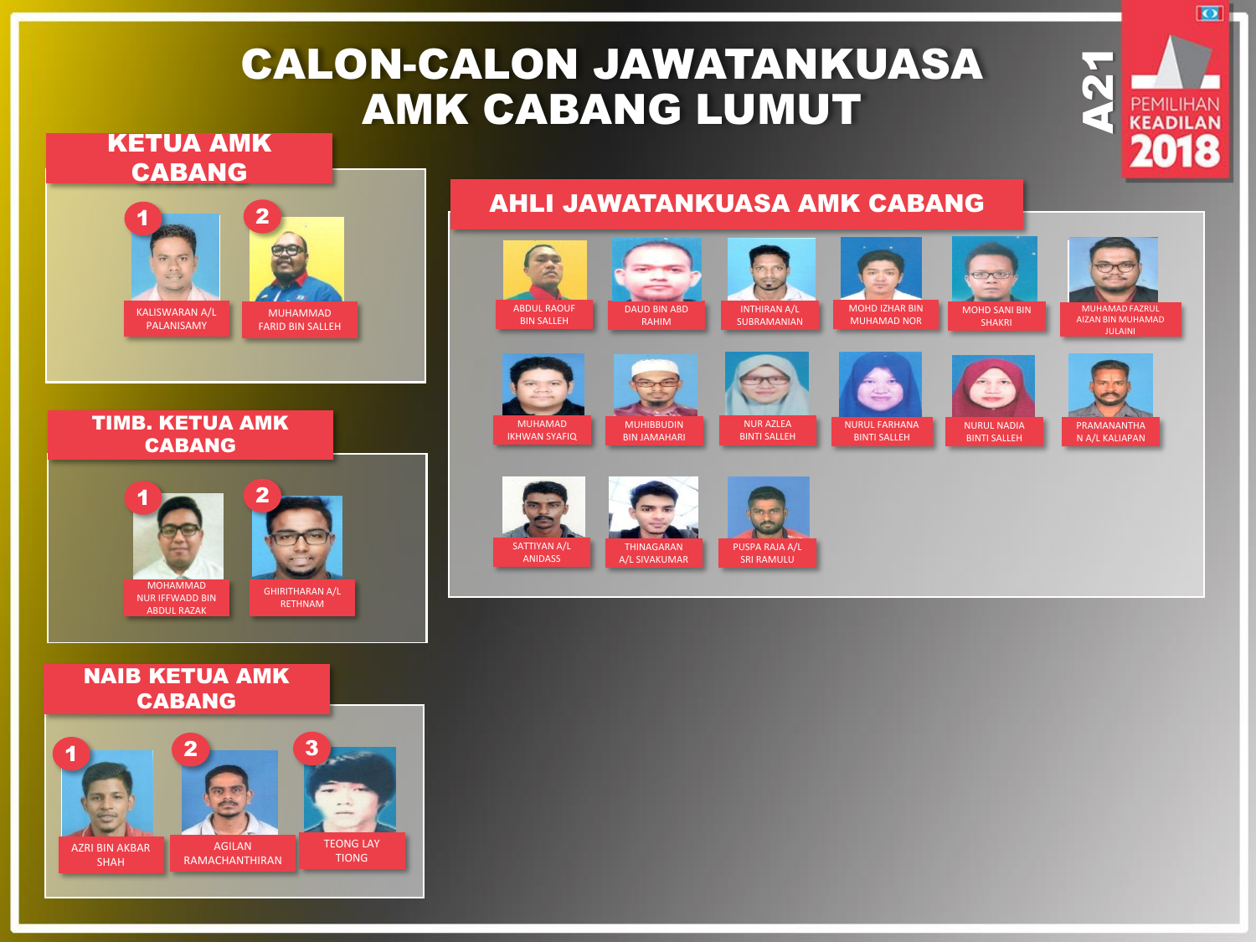# CALON-CALON JAWATANKUASA AMK CABANG LUMUT

### KETUA AMK CABANG



#### TIMB. KETUA AMK CABANG



#### NAIB KETUA AMK CABANG



### AHLI JAWATANKUASA AMK CABANG

#### are 黑 ABDUL RAOUF DAUD BIN ABD INTHIRAN A/L MOHD IZHAR BIN MOHD SANI BIN BIN SALLEH SUBRAMANIAN MUHAMAD NOR RAHIM SHAKRI















BINTI SALLEH









BINTI SALLEH



A21

 $\overline{\bullet}$ 

**KEADILAN** 

MUHAMAD FAZRUL AIZAN BIN MUHAMAD

JULAINI